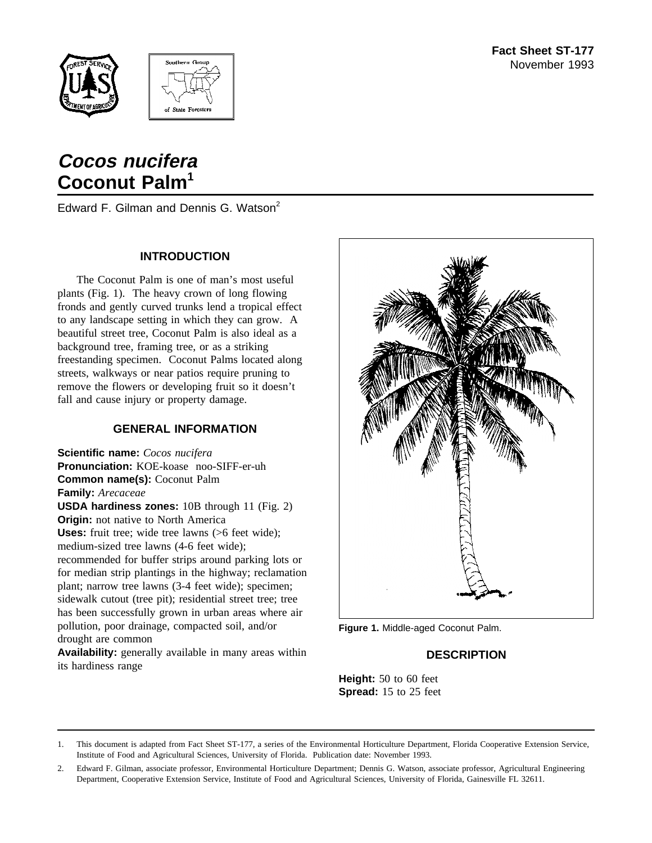



# **Cocos nucifera Coconut Palm<sup>1</sup>**

Edward F. Gilman and Dennis G. Watson<sup>2</sup>

## **INTRODUCTION**

The Coconut Palm is one of man's most useful plants (Fig. 1). The heavy crown of long flowing fronds and gently curved trunks lend a tropical effect to any landscape setting in which they can grow. A beautiful street tree, Coconut Palm is also ideal as a background tree, framing tree, or as a striking freestanding specimen. Coconut Palms located along streets, walkways or near patios require pruning to remove the flowers or developing fruit so it doesn't fall and cause injury or property damage.

## **GENERAL INFORMATION**

**Scientific name:** *Cocos nucifera* **Pronunciation:** KOE-koase noo-SIFF-er-uh **Common name(s):** Coconut Palm **Family:** *Arecaceae* **USDA hardiness zones:** 10B through 11 (Fig. 2) **Origin:** not native to North America **Uses:** fruit tree; wide tree lawns (>6 feet wide); medium-sized tree lawns (4-6 feet wide); recommended for buffer strips around parking lots or for median strip plantings in the highway; reclamation plant; narrow tree lawns (3-4 feet wide); specimen; sidewalk cutout (tree pit); residential street tree; tree has been successfully grown in urban areas where air pollution, poor drainage, compacted soil, and/or drought are common

**Availability:** generally available in many areas within its hardiness range



**Figure 1.** Middle-aged Coconut Palm.

## **DESCRIPTION**

**Height:** 50 to 60 feet **Spread:** 15 to 25 feet

<sup>1.</sup> This document is adapted from Fact Sheet ST-177, a series of the Environmental Horticulture Department, Florida Cooperative Extension Service, Institute of Food and Agricultural Sciences, University of Florida. Publication date: November 1993.

<sup>2.</sup> Edward F. Gilman, associate professor, Environmental Horticulture Department; Dennis G. Watson, associate professor, Agricultural Engineering Department, Cooperative Extension Service, Institute of Food and Agricultural Sciences, University of Florida, Gainesville FL 32611.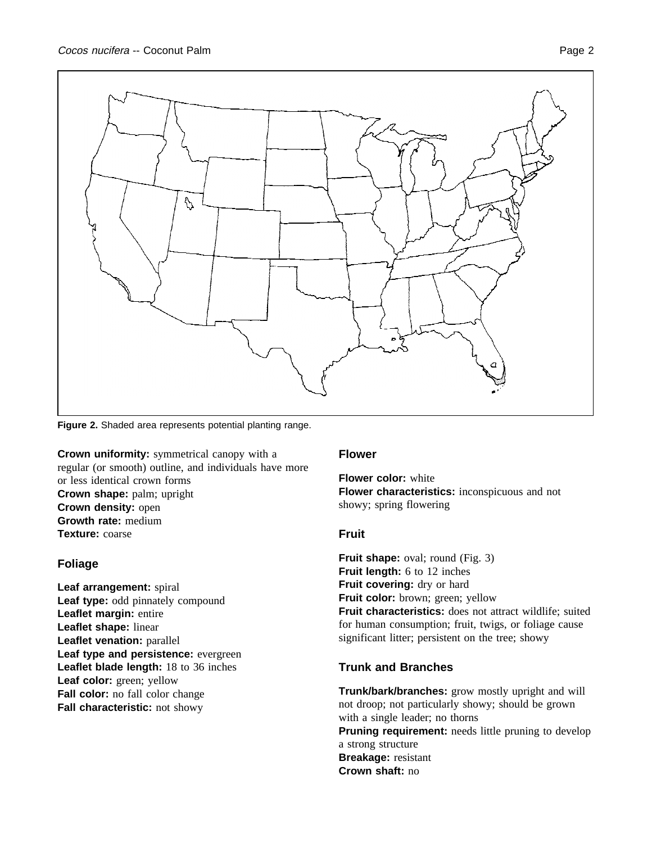

**Figure 2.** Shaded area represents potential planting range.

**Crown uniformity:** symmetrical canopy with a regular (or smooth) outline, and individuals have more or less identical crown forms **Crown shape:** palm; upright **Crown density:** open **Growth rate:** medium **Texture:** coarse

#### **Foliage**

**Leaf arrangement:** spiral Leaf type: odd pinnately compound **Leaflet margin:** entire **Leaflet shape:** linear **Leaflet venation:** parallel **Leaf type and persistence:** evergreen **Leaflet blade length:** 18 to 36 inches **Leaf color:** green; yellow **Fall color:** no fall color change **Fall characteristic:** not showy

#### **Flower**

**Flower color:** white **Flower characteristics:** inconspicuous and not showy; spring flowering

#### **Fruit**

**Fruit shape:** oval; round (Fig. 3) **Fruit length:** 6 to 12 inches Fruit covering: dry or hard **Fruit color:** brown; green; yellow **Fruit characteristics:** does not attract wildlife; suited for human consumption; fruit, twigs, or foliage cause significant litter; persistent on the tree; showy

## **Trunk and Branches**

**Trunk/bark/branches:** grow mostly upright and will not droop; not particularly showy; should be grown with a single leader; no thorns **Pruning requirement:** needs little pruning to develop a strong structure **Breakage:** resistant **Crown shaft:** no